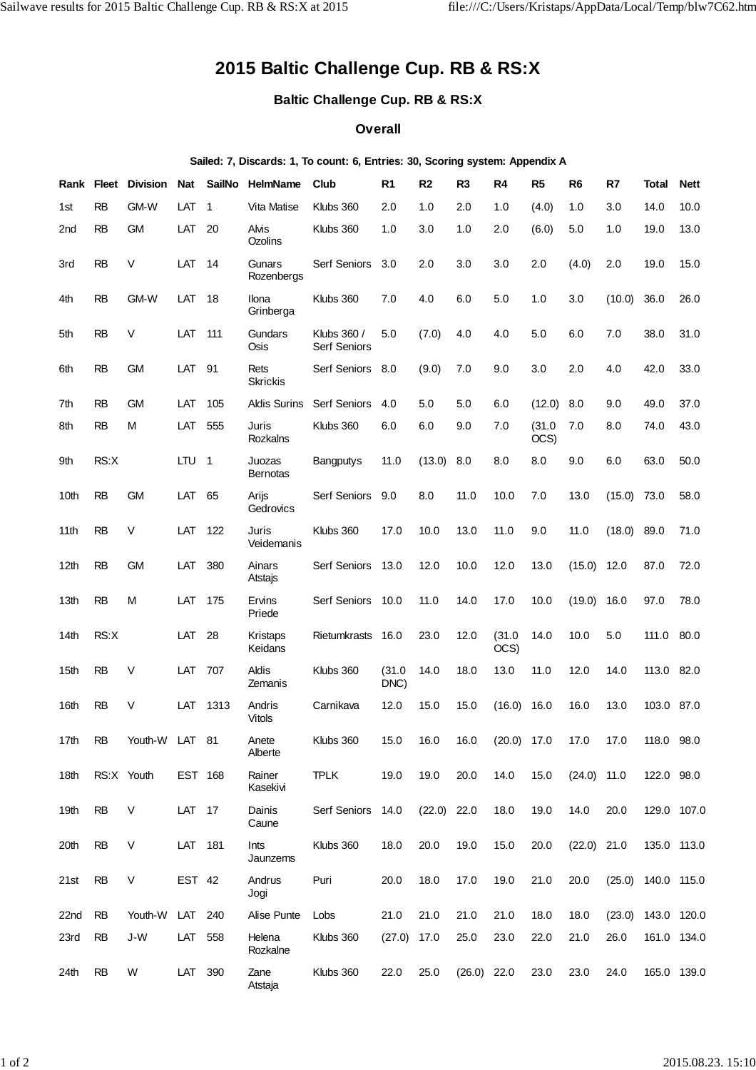## **2015 Baltic Challenge Cup. RB & RS:X**

**Baltic Challenge Cup. RB & RS:X**

## **Overall**

## **Sailed: 7, Discards: 1, To count: 6, Entries: 30, Scoring system: Appendix A**

| Rank            | <b>Fleet</b> | <b>Division</b> | <b>Nat</b> | <b>SailNo</b>  | <b>HelmName</b>           | Club                               | R <sub>1</sub> | R <sub>2</sub> | R <sub>3</sub> | R <sub>4</sub> | R <sub>5</sub> | R <sub>6</sub> | R7     | <b>Total</b>         | <b>Nett</b> |
|-----------------|--------------|-----------------|------------|----------------|---------------------------|------------------------------------|----------------|----------------|----------------|----------------|----------------|----------------|--------|----------------------|-------------|
| 1st             | <b>RB</b>    | GM-W            | LAT        | $\mathbf 1$    | Vita Matise               | Klubs 360                          | 2.0            | 1.0            | 2.0            | 1.0            | (4.0)          | 1.0            | 3.0    | 14.0                 | 10.0        |
| 2 <sub>nd</sub> | <b>RB</b>    | <b>GM</b>       | LAT        | 20             | Alvis<br>Ozolins          | Klubs 360                          | 1.0            | 3.0            | 1.0            | 2.0            | (6.0)          | 5.0            | 1.0    | 19.0                 | 13.0        |
| 3rd             | <b>RB</b>    | $\vee$          | LAT        | -14            | Gunars<br>Rozenbergs      | Serf Seniors                       | 3.0            | 2.0            | 3.0            | 3.0            | 2.0            | (4.0)          | 2.0    | 19.0                 | 15.0        |
| 4th             | <b>RB</b>    | GM-W            | LAT        | 18             | Ilona<br>Grinberga        | Klubs 360                          | 7.0            | 4.0            | 6.0            | 5.0            | 1.0            | 3.0            | (10.0) | 36.0                 | 26.0        |
| 5th             | <b>RB</b>    | V               | LAT        | 111            | Gundars<br>Osis           | Klubs 360 /<br><b>Serf Seniors</b> | 5.0            | (7.0)          | 4.0            | 4.0            | 5.0            | 6.0            | 7.0    | 38.0                 | 31.0        |
| 6th             | <b>RB</b>    | <b>GM</b>       | LAT        | 91             | Rets<br><b>Skrickis</b>   | Serf Seniors                       | 8.0            | (9.0)          | 7.0            | 9.0            | 3.0            | 2.0            | 4.0    | 42.0                 | 33.0        |
| 7th             | <b>RB</b>    | <b>GM</b>       | LAT        | 105            | <b>Aldis Surins</b>       | Serf Seniors                       | 4.0            | 5.0            | 5.0            | 6.0            | (12.0)         | 8.0            | 9.0    | 49.0                 | 37.0        |
| 8th             | <b>RB</b>    | M               | LAT        | 555            | Juris<br>Rozkalns         | Klubs 360                          | 6.0            | 6.0            | 9.0            | 7.0            | (31.0)<br>OCS) | 7.0            | 8.0    | 74.0                 | 43.0        |
| 9th             | RS:X         |                 | LTU.       | $\overline{1}$ | Juozas<br><b>Bernotas</b> | <b>Bangputys</b>                   | 11.0           | (13.0)         | 8.0            | 8.0            | 8.0            | 9.0            | 6.0    | 63.0                 | 50.0        |
| 10th            | <b>RB</b>    | <b>GM</b>       | LAT        | 65             | Arijs<br>Gedrovics        | Serf Seniors                       | 9.0            | 8.0            | 11.0           | 10.0           | 7.0            | 13.0           | (15.0) | 73.0                 | 58.0        |
| 11th            | <b>RB</b>    | $\vee$          | LAT        | 122            | Juris<br>Veidemanis       | Klubs 360                          | 17.0           | 10.0           | 13.0           | 11.0           | 9.0            | 11.0           | (18.0) | 89.0                 | 71.0        |
| 12th            | <b>RB</b>    | <b>GM</b>       | LAT        | 380            | Ainars<br>Atstajs         | Serf Seniors                       | 13.0           | 12.0           | 10.0           | 12.0           | 13.0           | (15.0)         | 12.0   | 87.0                 | 72.0        |
| 13th            | <b>RB</b>    | M               | LAT        | 175            | Ervins<br>Priede          | Serf Seniors                       | 10.0           | 11.0           | 14.0           | 17.0           | 10.0           | (19.0)         | 16.0   | 97.0                 | 78.0        |
| 14th            | RS:X         |                 | LAT        | 28             | Kristaps<br>Keidans       | Rietumkrasts                       | 16.0           | 23.0           | 12.0           | (31.0)<br>OCS) | 14.0           | 10.0           | 5.0    | 111.0                | 80.0        |
| 15th            | <b>RB</b>    | V               | LAT        | 707            | Aldis<br>Zemanis          | Klubs 360                          | (31.0)<br>DNC) | 14.0           | 18.0           | 13.0           | 11.0           | 12.0           | 14.0   | 113.0                | 82.0        |
| 16th            | <b>RB</b>    | V               | LAT        | 1313           | Andris<br><b>Vitols</b>   | Carnikava                          | 12.0           | 15.0           | 15.0           | (16.0)         | 16.0           | 16.0           | 13.0   | 103.0 87.0           |             |
| 17th            | <b>RB</b>    | Youth-W         | LAT        | 81             | Anete<br>Alberte          | Klubs 360                          | 15.0           | 16.0           | 16.0           | (20.0)         | 17.0           | 17.0           | 17.0   | 118.0                | 98.0        |
| 18th            |              | RS:X Youth      | EST 168    |                | Rainer<br>Kasekivi        | <b>TPLK</b>                        | 19.0           | 19.0           | 20.0           | 14.0           | 15.0           | $(24.0)$ 11.0  |        | 122.0 98.0           |             |
| 19th            | <b>RB</b>    | V               | LAT 17     |                | Dainis<br>Caune           | Serf Seniors 14.0                  |                | $(22.0)$ 22.0  |                | 18.0           | 19.0           | 14.0           | 20.0   | 129.0 107.0          |             |
| 20th            | <b>RB</b>    | V               | LAT 181    |                | Ints<br>Jaunzems          | Klubs 360                          | 18.0           | 20.0           | 19.0           | 15.0           | 20.0           | $(22.0)$ 21.0  |        | 135.0 113.0          |             |
| 21st            | <b>RB</b>    | V               | EST 42     |                | Andrus<br>Jogi            | Puri                               | 20.0           | 18.0           | 17.0           | 19.0           | 21.0           | 20.0           |        | $(25.0)$ 140.0 115.0 |             |
| 22nd            | RB           | Youth-W         | LAT 240    |                | Alise Punte               | Lobs                               | 21.0           | 21.0           | 21.0           | 21.0           | 18.0           | 18.0           | (23.0) | 143.0 120.0          |             |
| 23rd            | <b>RB</b>    | J-W             | LAT 558    |                | Helena<br>Rozkalne        | Klubs 360                          | (27.0)         | 17.0           | 25.0           | 23.0           | 22.0           | 21.0           | 26.0   | 161.0 134.0          |             |
| 24th            | <b>RB</b>    | W               | LAT 390    |                | Zane<br>Atstaja           | Klubs 360                          | 22.0           | 25.0           | $(26.0)$ 22.0  |                | 23.0           | 23.0           | 24.0   | 165.0 139.0          |             |